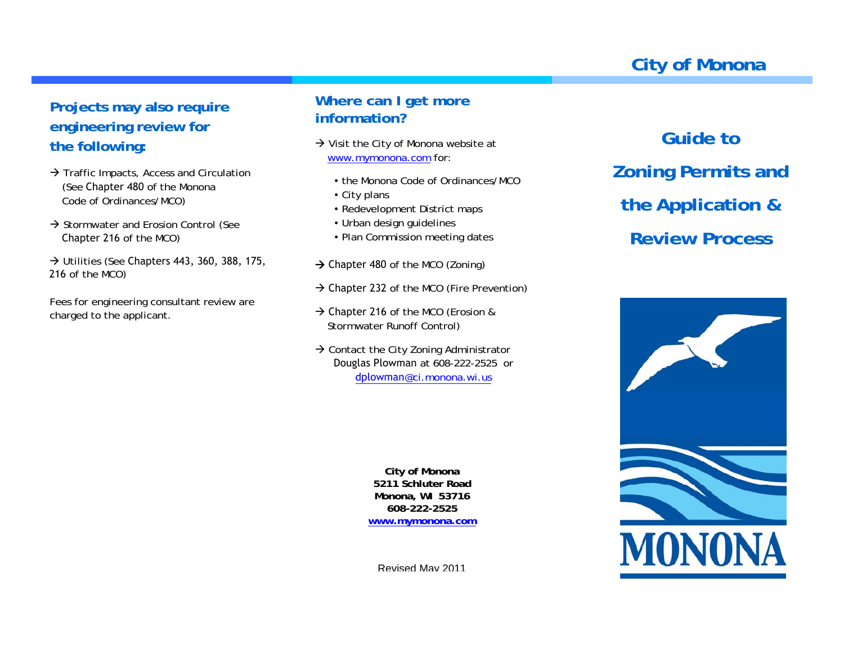# **City of Monona**

## **Projects may also require engineering review for the following:**

- $\rightarrow$  Traffic Impacts, Access and Circulation (See Chapter 480 of the Monona Code of Ordinances/MCO)
- $\rightarrow$  Stormwater and Erosion Control (See Chapter 216 of the MCO)
- $\rightarrow$  Utilities (See Chapters 443, 360, 388, 175, 216 of the MCO)

Fees for engineering consultant review are charged to the applicant.

### **Where can I get more information?**

- $\rightarrow$  Visit the City of Monona website at www.mymonona.com for:
	- the Monona Code of Ordinances/MCO
	- $\bullet$  City plans
	- Redevelopment District maps
	- Urban design guidelines
	- Plan Commission meeting dates
- $\rightarrow$  Chapter 480 of the MCO (Zoning)
- $\rightarrow$  Chapter 232 of the MCO (Fire Prevention)
- $\rightarrow$  Chapter 216 of the MCO (Erosion & Stormwater Runoff Control)
- $\rightarrow$  Contact the City Zoning Administrator Douglas Plowman at 608-222-2525 or dplowman@ci.monona.wi.us

**City of Monona 5211 Schluter Road Monona, WI 53716 608-222-2525 www.mymonona.com**

Revised May 2011

**Guide toZoning Permits and the Application & Review Process**